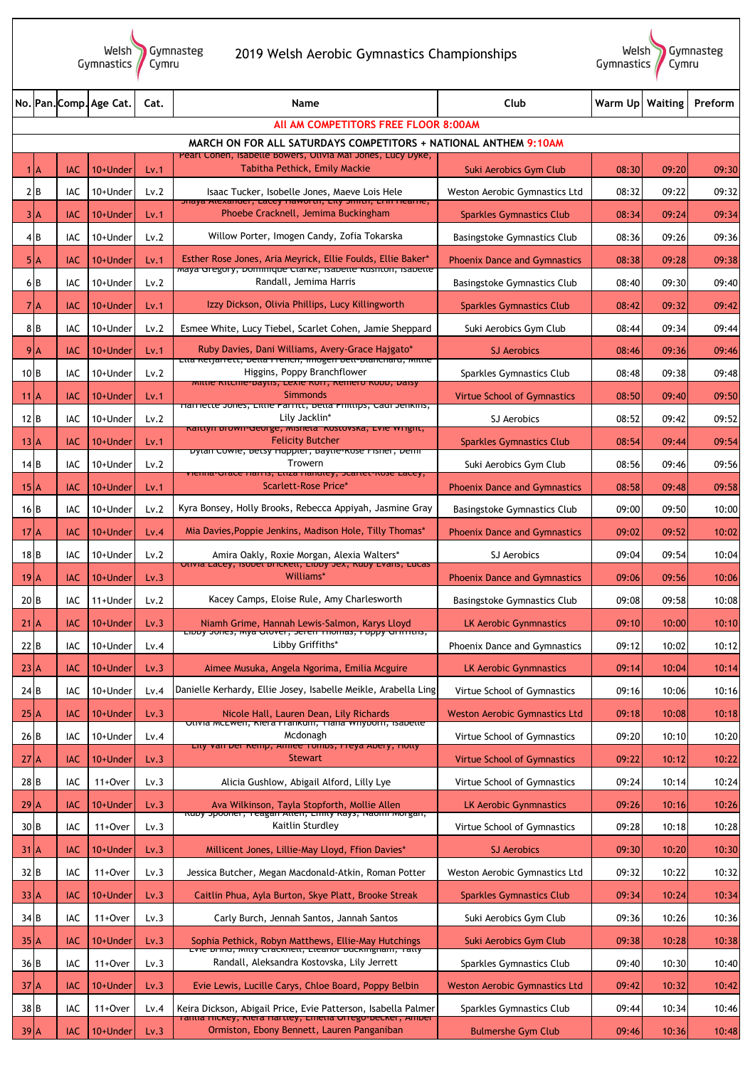Welsh<br>|Gymnastics Gymnasteg<br>Cymru

## 2019 Welsh Aerobic Gymnastics Championships



|                                                                                                                               |            | No. Pan. Comp. Age Cat. | Cat. | <b>Name</b>                                                                                                                                | Club                                 | Warm Up   Waiting |       | Preform |  |  |  |
|-------------------------------------------------------------------------------------------------------------------------------|------------|-------------------------|------|--------------------------------------------------------------------------------------------------------------------------------------------|--------------------------------------|-------------------|-------|---------|--|--|--|
|                                                                                                                               |            |                         |      | All AM COMPETITORS FREE FLOOR 8:00AM                                                                                                       |                                      |                   |       |         |  |  |  |
| MARCH ON FOR ALL SATURDAYS COMPETITORS + NATIONAL ANTHEM 9:10AM<br>Pearl Cohen, Isabelle Bowers, Olivia Mai Jones, Lucy Dyke, |            |                         |      |                                                                                                                                            |                                      |                   |       |         |  |  |  |
| $1$ <sup>A</sup>                                                                                                              | <b>IAC</b> | 10+Under                | Lv.1 | Tabitha Pethick, Emily Mackie                                                                                                              | Suki Aerobics Gym Club               | 08:30             | 09:20 | 09:30   |  |  |  |
| 2B                                                                                                                            | IAC        | 10+Under                | Lv.2 | Isaac Tucker, Isobelle Jones, Maeve Lois Hele<br>phaya Alexanuer, Lacey naworun, Lity binitin, Linn neame,                                 | Weston Aerobic Gymnastics Ltd        | 08:32             | 09:22 | 09:32   |  |  |  |
| 3 A                                                                                                                           | <b>IAC</b> | 10+Under                | Lv.1 | Phoebe Cracknell, Jemima Buckingham                                                                                                        | <b>Sparkles Gymnastics Club</b>      | 08:34             | 09:24 | 09:34   |  |  |  |
| 4 B                                                                                                                           | <b>IAC</b> | 10+Under                | Lv.2 | Willow Porter, Imogen Candy, Zofia Tokarska                                                                                                | <b>Basingstoke Gymnastics Club</b>   | 08:36             | 09:26 | 09:36   |  |  |  |
| 5 A                                                                                                                           | <b>IAC</b> | 10+Under                | Lv.1 | Esther Rose Jones, Aria Meyrick, Ellie Foulds, Ellie Baker*<br><mark>naya פו<del>פ</del>שטו (לישומות השפעה) את האשרווטיק, השפעת האש</mark> | <b>Phoenix Dance and Gymnastics</b>  | 08:38             | 09:28 | 09:38   |  |  |  |
| 6B                                                                                                                            | IAC        | 10+Under                | Lv.2 | Randall, Jemima Harris                                                                                                                     | <b>Basingstoke Gymnastics Club</b>   | 08:40             | 09:30 | 09:40   |  |  |  |
| 7 <sup>h</sup>                                                                                                                | <b>IAC</b> | 10+Under                | Lv.1 | Izzy Dickson, Olivia Phillips, Lucy Killingworth                                                                                           | <b>Sparkles Gymnastics Club</b>      | 08:42             | 09:32 | 09:42   |  |  |  |
| 8 B                                                                                                                           | IAC        | 10+Under                | Lv.2 | Esmee White, Lucy Tiebel, Scarlet Cohen, Jamie Sheppard                                                                                    | Suki Aerobics Gym Club               | 08:44             | 09:34 | 09:44   |  |  |  |
| 9 <sub>A</sub>                                                                                                                | <b>IAC</b> | 10+Under                | Lv.1 | Ruby Davies, Dani Williams, Avery-Grace Hajgato*<br><mark>בת<del>ם הפוןמחיפננ, טפתם חיפותה, וחוטצפה טפת-טנמונהמוט, ואותופ</del></mark>     | <b>SJ Aerobics</b>                   | 08:46             | 09:36 | 09:46   |  |  |  |
| $10$ B                                                                                                                        | IAC        | 10+Under                | Lv.2 | Higgins, Poppy Branchflower<br>mittle Kitchle-Daytis, Lexie Korr, Keniero Kobb, Daisy                                                      | Sparkles Gymnastics Club             | 08:48             | 09:38 | 09:48   |  |  |  |
| $11$ $A$                                                                                                                      | <b>IAC</b> | 10+Under                | Lv.1 | <b>Simmonds</b><br>narriette Jones, Little Parritt, betta Pilitups, Caur Jenkins,                                                          | <b>Virtue School of Gymnastics</b>   | 08:50             | 09:40 | 09:50   |  |  |  |
| $12$ <sub>B</sub>                                                                                                             | IAC        | 10+Under                | Lv.2 | Lily Jacklin*<br>Kalttyli brown-deorge, misheta Kostovska, Lvie Wright,                                                                    | SJ Aerobics                          | 08:52             | 09:42 | 09:52   |  |  |  |
| 13 A                                                                                                                          | <b>IAC</b> | 10+Under                | Lv.1 | <b>Felicity Butcher</b><br>Dytan Cowle, betsy nuppter, baytie-Rose risiler, Denn                                                           | <b>Sparkles Gymnastics Club</b>      | 08:54             | 09:44 | 09:54   |  |  |  |
| 14B                                                                                                                           | IAC        | 10+Under                | Lv.2 | Trowern<br>vienna-urace narris, Etiza nandley, Scartet-Rose Lacey,                                                                         | Suki Aerobics Gym Club               | 08:56             | 09:46 | 09:56   |  |  |  |
| 15 <sup>2</sup>                                                                                                               | <b>IAC</b> | 10+Under                | Lv.1 | <b>Scarlett-Rose Price*</b>                                                                                                                | <b>Phoenix Dance and Gymnastics</b>  | 08:58             | 09:48 | 09:58   |  |  |  |
| 16 B                                                                                                                          | <b>IAC</b> | 10+Under                | Lv.2 | Kyra Bonsey, Holly Brooks, Rebecca Appiyah, Jasmine Gray                                                                                   | Basingstoke Gymnastics Club          | 09:00             | 09:50 | 10:00   |  |  |  |
| $172$ A                                                                                                                       | <b>IAC</b> | 10+Under                | Lv.4 | Mia Davies, Poppie Jenkins, Madison Hole, Tilly Thomas*                                                                                    | <b>Phoenix Dance and Gymnastics</b>  | 09:02             | 09:52 | 10:02   |  |  |  |
| 18B                                                                                                                           | IAC        | 10+Under                | Lv.2 | Amira Oakly, Roxie Morgan, Alexia Walters*                                                                                                 | SJ Aerobics                          | 09:04             | 09:54 | 10:04   |  |  |  |
| 19 <sub>1</sub> A                                                                                                             | <b>IAC</b> | 10+Under                | Lv.3 | Ulivia Lacey, isobel brickell, Libby Jex, Kuby Lvaris, Lucas<br>Williams*                                                                  | <b>Phoenix Dance and Gymnastics</b>  | 09:06             | 09:56 | 10:06   |  |  |  |
| 20B                                                                                                                           | IAC        | 11+Under                | Lv.2 | Kacey Camps, Eloise Rule, Amy Charlesworth                                                                                                 | <b>Basingstoke Gymnastics Club</b>   | 09:08             | 09:58 | 10:08   |  |  |  |
| $21$ $A$                                                                                                                      | <b>IAC</b> | 10+Under                | Lv.3 | Niamh Grime, Hannah Lewis-Salmon, Karys Lloyd<br>LIDDY JOHES, MYA GIOVEL, SETEN THOMAS, PODDY GITTILIIS,                                   | <b>LK Aerobic Gynmnastics</b>        | 09:10             | 10:00 | 10:10   |  |  |  |
| $22$ B                                                                                                                        | IAC        | 10+Under                | Lv.4 | Libby Griffiths*                                                                                                                           | <b>Phoenix Dance and Gymnastics</b>  | 09:12             | 10:02 | 10:12   |  |  |  |
| 23 A                                                                                                                          | <b>IAC</b> | 10+Under                | Lv.3 | Aimee Musuka, Angela Ngorima, Emilia Mcguire                                                                                               | <b>LK Aerobic Gynmnastics</b>        | 09:14             | 10:04 | 10:14   |  |  |  |
| 24B                                                                                                                           | IAC        | 10+Under                | Lv.4 | Danielle Kerhardy, Ellie Josey, Isabelle Meikle, Arabella Ling                                                                             | Virtue School of Gymnastics          | 09:16             | 10:06 | 10:16   |  |  |  |
| 25 A                                                                                                                          | <b>IAC</b> | 10+Under                | Lv.3 | Nicole Hall, Lauren Dean, Lily Richards<br><u>Utivia mcLweii, Kiera i raiikuili, Tialia wilybuili, isabette</u>                            | <b>Weston Aerobic Gymnastics Ltd</b> | 09:18             | 10:08 | 10:18   |  |  |  |
| 26B                                                                                                                           | IAC        | 10+Under                | Lv.4 | Mcdonagh<br>Lity vall Del Kellip, Allilee Tollibs, Fleyd Abery, Hotty                                                                      | Virtue School of Gymnastics          | 09:20             | 10:10 | 10:20   |  |  |  |
| 27 <sup>2</sup>                                                                                                               | <b>IAC</b> | 10+Under                | Lv.3 | <b>Stewart</b>                                                                                                                             | <b>Virtue School of Gymnastics</b>   | 09:22             | 10:12 | 10:22   |  |  |  |
| 28B                                                                                                                           | IAC        | 11+Over                 | Lv.3 | Alicia Gushlow, Abigail Alford, Lilly Lye                                                                                                  | Virtue School of Gymnastics          | 09:24             | 10:14 | 10:24   |  |  |  |
| 29 A                                                                                                                          | <b>IAC</b> | 10+Under                | Lv.3 | Ava Wilkinson, Tayla Stopforth, Mollie Allen<br>kuby spooner, reagan Atten, Emity Kays, Naonn Morgan,                                      | <b>LK Aerobic Gynmnastics</b>        | 09:26             | 10:16 | 10:26   |  |  |  |
| 30B                                                                                                                           | IAC        | 11+Over                 | Lv.3 | Kaitlin Sturdley                                                                                                                           | Virtue School of Gymnastics          | 09:28             | 10:18 | 10:28   |  |  |  |
| $31$ $A$                                                                                                                      | <b>IAC</b> | 10+Under                | Lv.3 | Millicent Jones, Lillie-May Lloyd, Ffion Davies*                                                                                           | <b>SJ Aerobics</b>                   | 09:30             | 10:20 | 10:30   |  |  |  |
| 32 B                                                                                                                          | IAC        | 11+Over                 | Lv.3 | Jessica Butcher, Megan Macdonald-Atkin, Roman Potter                                                                                       | Weston Aerobic Gymnastics Ltd        | 09:32             | 10:22 | 10:32   |  |  |  |
| 33 A                                                                                                                          | <b>IAC</b> | 10+Under                | Lv.3 | Caitlin Phua, Ayla Burton, Skye Platt, Brooke Streak                                                                                       | <b>Sparkles Gymnastics Club</b>      | 09:34             | 10:24 | 10:34   |  |  |  |
| 34 B                                                                                                                          | IAC        | 11+Over                 | Lv.3 | Carly Burch, Jennah Santos, Jannah Santos                                                                                                  | Suki Aerobics Gym Club               | 09:36             | 10:26 | 10:36   |  |  |  |
| 35 A                                                                                                                          | <b>IAC</b> | 10+Under                | Lv.3 | Sophia Pethick, Robyn Matthews, Ellie-May Hutchings<br>Lyle bring, mitty Crackfiett, Lteanor buckfrigham, Tatty                            | Suki Aerobics Gym Club               | 09:38             | 10:28 | 10:38   |  |  |  |
| 36 B                                                                                                                          | IAC        | 11+Over                 | Lv.3 | Randall, Aleksandra Kostovska, Lily Jerrett                                                                                                | Sparkles Gymnastics Club             | 09:40             | 10:30 | 10:40   |  |  |  |
| $372$ A                                                                                                                       | <b>IAC</b> | 10+Under                | Lv.3 | Evie Lewis, Lucille Carys, Chloe Board, Poppy Belbin                                                                                       | <b>Weston Aerobic Gymnastics Ltd</b> | 09:42             | 10:32 | 10:42   |  |  |  |
| 38 <sub>B</sub>                                                                                                               | IAC        | 11+Over                 | Lv.4 | Keira Dickson, Abigail Price, Evie Patterson, Isabella Palmer<br>randa mckey, Kiera nartiey, Lineua Orrego-Decker, Amber                   | Sparkles Gymnastics Club             | 09:44             | 10:34 | 10:46   |  |  |  |
| $39$ <sup>A</sup>                                                                                                             | <b>IAC</b> | 10+Under                | Lv.3 | Ormiston, Ebony Bennett, Lauren Panganiban                                                                                                 | <b>Bulmershe Gym Club</b>            | 09:46             | 10:36 | 10:48   |  |  |  |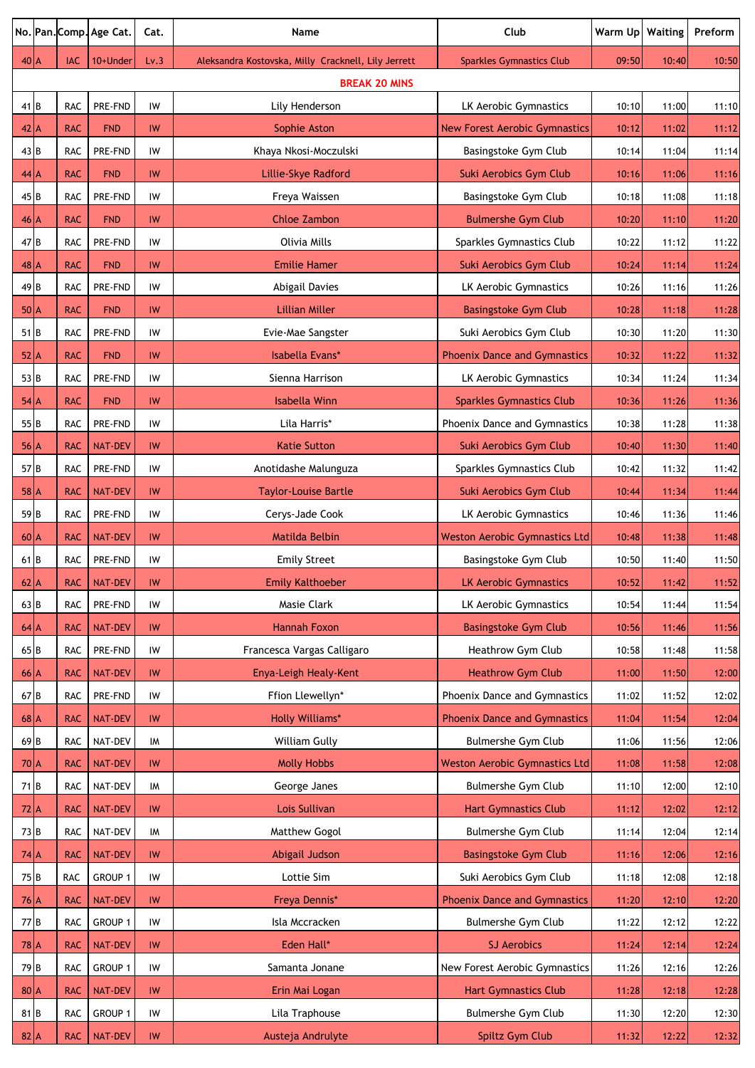|                 |            | No. Pan. Comp. Age Cat. | Cat.          | Name                                                | Club                                 | Warm Up | Waiting | Preform |
|-----------------|------------|-------------------------|---------------|-----------------------------------------------------|--------------------------------------|---------|---------|---------|
| $40$ A          | IAC        | 10+Under                | Lv.3          | Aleksandra Kostovska, Milly Cracknell, Lily Jerrett | <b>Sparkles Gymnastics Club</b>      | 09:50   | 10:40   | 10:50   |
|                 |            |                         |               | <b>BREAK 20 MINS</b>                                |                                      |         |         |         |
| 41 B            | <b>RAC</b> | PRE-FND                 | IW            | Lily Henderson                                      | LK Aerobic Gymnastics                | 10:10   | 11:00   | 11:10   |
| $42$ $A$        | <b>RAC</b> | <b>FND</b>              | IW            | Sophie Aston                                        | <b>New Forest Aerobic Gymnastics</b> | 10:12   | 11:02   | 11:12   |
| 43 B            | <b>RAC</b> | PRE-FND                 | IW            | Khaya Nkosi-Moczulski                               | Basingstoke Gym Club                 | 10:14   | 11:04   | 11:14   |
| 44A             | <b>RAC</b> | <b>FND</b>              | <b>IW</b>     | Lillie-Skye Radford                                 | Suki Aerobics Gym Club               | 10:16   | 11:06   | 11:16   |
| 45B             | <b>RAC</b> | PRE-FND                 | IW            | Freya Waissen                                       | Basingstoke Gym Club                 | 10:18   | 11:08   | 11:18   |
| $46$ A          | <b>RAC</b> | <b>FND</b>              | <b>IW</b>     | <b>Chloe Zambon</b>                                 | <b>Bulmershe Gym Club</b>            | 10:20   | 11:10   | 11:20   |
| 47 B            | <b>RAC</b> | PRE-FND                 | IW            | Olivia Mills                                        | Sparkles Gymnastics Club             | 10:22   | 11:12   | 11:22   |
| $48$ A          | <b>RAC</b> | <b>FND</b>              | IW            | <b>Emilie Hamer</b>                                 | Suki Aerobics Gym Club               | 10:24   | 11:14   | 11:24   |
| 49 <sub>B</sub> | <b>RAC</b> | PRE-FND                 | IW            | <b>Abigail Davies</b>                               | LK Aerobic Gymnastics                | 10:26   | 11:16   | 11:26   |
| $50\text{A}$    | <b>RAC</b> | <b>FND</b>              | IW            | <b>Lillian Miller</b>                               | <b>Basingstoke Gym Club</b>          | 10:28   | 11:18   | 11:28   |
| $51$ B          | <b>RAC</b> | PRE-FND                 | IW            | Evie-Mae Sangster                                   | Suki Aerobics Gym Club               | 10:30   | 11:20   | 11:30   |
| $52$ $A$        | <b>RAC</b> | <b>FND</b>              | IW            | Isabella Evans*                                     | <b>Phoenix Dance and Gymnastics</b>  | 10:32   | 11:22   | 11:32   |
| 53 B            | <b>RAC</b> | PRE-FND                 | IW            | Sienna Harrison                                     | LK Aerobic Gymnastics                | 10:34   | 11:24   | 11:34   |
| $54$ $A$        | <b>RAC</b> | <b>FND</b>              | IW            | <b>Isabella Winn</b>                                | <b>Sparkles Gymnastics Club</b>      | 10:36   | 11:26   | 11:36   |
| 55 <sub>B</sub> | <b>RAC</b> | PRE-FND                 | IW            | Lila Harris*                                        | Phoenix Dance and Gymnastics         | 10:38   | 11:28   | 11:38   |
| 56 A            | <b>RAC</b> | <b>NAT-DEV</b>          | <b>IW</b>     | <b>Katie Sutton</b>                                 | Suki Aerobics Gym Club               | 10:40   | 11:30   | 11:40   |
| 57B             | <b>RAC</b> | PRE-FND                 | IW            | Anotidashe Malunguza                                | Sparkles Gymnastics Club             | 10:42   | 11:32   | 11:42   |
| $58$ $A$        | <b>RAC</b> | <b>NAT-DEV</b>          | <b>IW</b>     | <b>Taylor-Louise Bartle</b>                         | Suki Aerobics Gym Club               | 10:44   | 11:34   | 11:44   |
| 59B             | <b>RAC</b> | PRE-FND                 | IW            | Cerys-Jade Cook                                     | LK Aerobic Gymnastics                | 10:46   | 11:36   | 11:46   |
| $60$ $A$        | <b>RAC</b> | <b>NAT-DEV</b>          | IW            | Matilda Belbin                                      | <b>Weston Aerobic Gymnastics Ltd</b> | 10:48   | 11:38   | 11:48   |
| 61B             | <b>RAC</b> | PRE-FND                 | IW            | <b>Emily Street</b>                                 | Basingstoke Gym Club                 | 10:50   | 11:40   | 11:50   |
| $62$ $A$        | <b>RAC</b> | NAT-DEV                 | $\mathsf{IW}$ | <b>Emily Kalthoeber</b>                             | <b>LK Aerobic Gymnastics</b>         | 10:52   | 11:42   | 11:52   |
| $63$ B          | <b>RAC</b> | PRE-FND                 | IW            | Masie Clark                                         | LK Aerobic Gymnastics                | 10:54   | 11:44   | 11:54   |
| $64$ $A$        | <b>RAC</b> | <b>NAT-DEV</b>          | IW            | <b>Hannah Foxon</b>                                 | <b>Basingstoke Gym Club</b>          | 10:56   | 11:46   | 11:56   |
| 65B             | RAC        | PRE-FND                 | IW            | Francesca Vargas Calligaro                          | Heathrow Gym Club                    | 10:58   | 11:48   | 11:58   |
| $66$ $A$        | <b>RAC</b> | <b>NAT-DEV</b>          | IW            | Enya-Leigh Healy-Kent                               | <b>Heathrow Gym Club</b>             | 11:00   | 11:50   | 12:00   |
| 67 B            | RAC        | PRE-FND                 | IW            | Ffion Llewellyn*                                    | Phoenix Dance and Gymnastics         | 11:02   | 11:52   | 12:02   |
| $68$ $A$        | <b>RAC</b> | <b>NAT-DEV</b>          | IW            | <b>Holly Williams*</b>                              | <b>Phoenix Dance and Gymnastics</b>  | 11:04   | 11:54   | 12:04   |
| 69 <sub>B</sub> | RAC        | NAT-DEV                 | IM            | William Gully                                       | Bulmershe Gym Club                   | 11:06   | 11:56   | 12:06   |
| $70\text{A}$    | <b>RAC</b> | <b>NAT-DEV</b>          | <b>IW</b>     | <b>Molly Hobbs</b>                                  | <b>Weston Aerobic Gymnastics Ltd</b> | 11:08   | 11:58   | 12:08   |
| 71 B            | RAC        | NAT-DEV                 | IM            | George Janes                                        | Bulmershe Gym Club                   | 11:10   | 12:00   | 12:10   |
| $72 \text{A}$   | <b>RAC</b> | <b>NAT-DEV</b>          | IW            | Lois Sullivan                                       | <b>Hart Gymnastics Club</b>          | 11:12   | 12:02   | 12:12   |
| 73 B            | RAC        | NAT-DEV                 | IM            | Matthew Gogol                                       | Bulmershe Gym Club                   | 11:14   | 12:04   | 12:14   |
| $74$ $A$        | <b>RAC</b> | <b>NAT-DEV</b>          | IW            | Abigail Judson                                      | <b>Basingstoke Gym Club</b>          | 11:16   | 12:06   | 12:16   |
| 75B             | RAC        | GROUP 1                 | IW            | Lottie Sim                                          | Suki Aerobics Gym Club               | 11:18   | 12:08   | 12:18   |
| $76$ $A$        | <b>RAC</b> | <b>NAT-DEV</b>          | IW            | Freya Dennis*                                       | <b>Phoenix Dance and Gymnastics</b>  | 11:20   | 12:10   | 12:20   |
| 77 B            | RAC        | GROUP 1                 | IW            | Isla Mccracken                                      | Bulmershe Gym Club                   | 11:22   | 12:12   | 12:22   |
| $78$ $A$        | <b>RAC</b> | <b>NAT-DEV</b>          | IW            | Eden Hall*                                          | <b>SJ Aerobics</b>                   | 11:24   | 12:14   | 12:24   |
| 79 <sub>B</sub> | RAC        | GROUP 1                 | IW            | Samanta Jonane                                      | New Forest Aerobic Gymnastics        | 11:26   | 12:16   | 12:26   |
| $80\vert A$     | <b>RAC</b> | <b>NAT-DEV</b>          | IW            | Erin Mai Logan                                      | <b>Hart Gymnastics Club</b>          | 11:28   | 12:18   | 12:28   |
| 81 B            | RAC        | GROUP 1                 | IW            | Lila Traphouse                                      | Bulmershe Gym Club                   | 11:30   | 12:20   | 12:30   |
| $82 \mid A$     | <b>RAC</b> | <b>NAT-DEV</b>          | IW            | Austeja Andrulyte                                   | Spiltz Gym Club                      | 11:32   | 12:22   | 12:32   |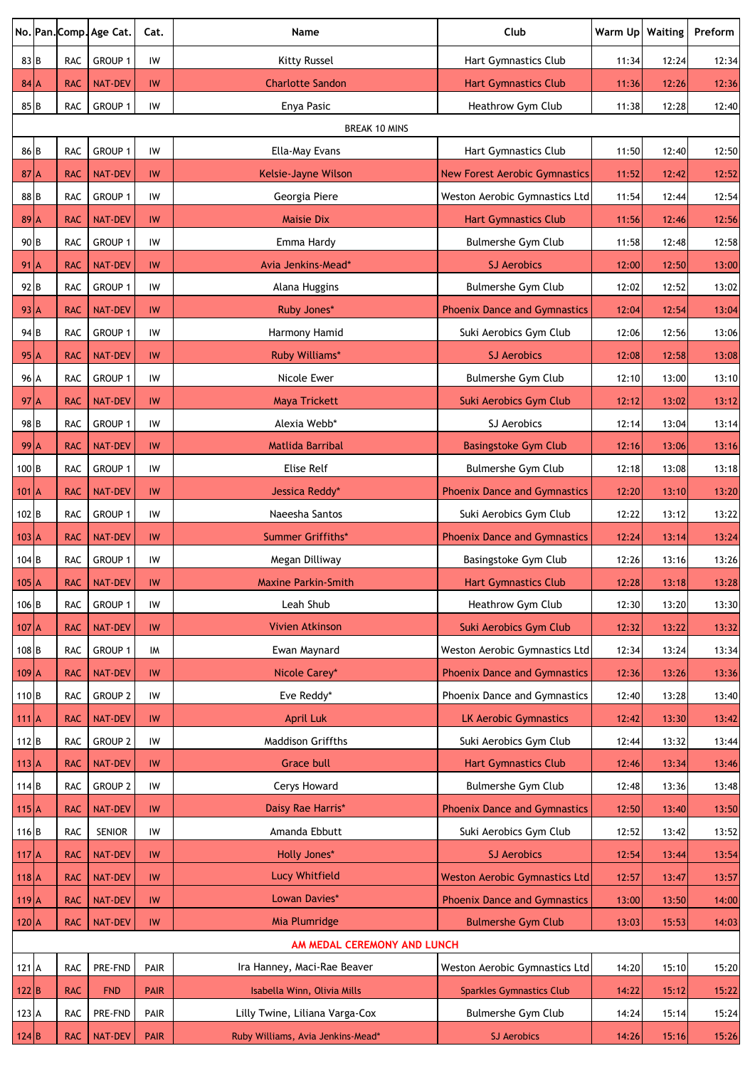|                   |            | No. Pan. Comp. Age Cat. | Cat.            | Name                                                       | Club                                 | Warm Up | Waiting | Preform |
|-------------------|------------|-------------------------|-----------------|------------------------------------------------------------|--------------------------------------|---------|---------|---------|
| 83 B              | <b>RAC</b> | GROUP 1                 | IW              | Kitty Russel                                               | Hart Gymnastics Club                 | 11:34   | 12:24   | 12:34   |
| $84$ A            | <b>RAC</b> | <b>NAT-DEV</b>          | IW              | <b>Charlotte Sandon</b>                                    | <b>Hart Gymnastics Club</b>          | 11:36   | 12:26   | 12:36   |
| 85 <sub>B</sub>   | RAC        | GROUP 1                 | IW              | Enya Pasic                                                 | Heathrow Gym Club                    | 11:38   | 12:28   | 12:40   |
|                   |            |                         |                 | <b>BREAK 10 MINS</b>                                       |                                      |         |         |         |
| 86 <sub>B</sub>   | <b>RAC</b> | GROUP 1                 | IW              | Ella-May Evans                                             | Hart Gymnastics Club                 | 11:50   | 12:40   | 12:50   |
| $87$ A            | <b>RAC</b> | <b>NAT-DEV</b>          | IW              | Kelsie-Jayne Wilson                                        | <b>New Forest Aerobic Gymnastics</b> | 11:52   | 12:42   | 12:52   |
| 88 <sub>B</sub>   | RAC        | GROUP 1                 | IW              | Georgia Piere                                              | Weston Aerobic Gymnastics Ltd        | 11:54   | 12:44   | 12:54   |
| $89$ <sup>A</sup> | <b>RAC</b> | <b>NAT-DEV</b>          | IW              | <b>Maisie Dix</b>                                          | <b>Hart Gymnastics Club</b>          | 11:56   | 12:46   | 12:56   |
| 90 <sub>B</sub>   | RAC        | GROUP 1                 | IW              | Emma Hardy                                                 | Bulmershe Gym Club                   | 11:58   | 12:48   | 12:58   |
| $91$ <sup>A</sup> | <b>RAC</b> | <b>NAT-DEV</b>          | IW              | Avia Jenkins-Mead*                                         | <b>SJ Aerobics</b>                   | 12:00   | 12:50   | 13:00   |
| 92 <sub>B</sub>   | RAC        | GROUP 1                 | IW              | Alana Huggins                                              | Bulmershe Gym Club                   | 12:02   | 12:52   | 13:02   |
| $93 \mid A$       | <b>RAC</b> | <b>NAT-DEV</b>          | IW              | Ruby Jones*                                                | <b>Phoenix Dance and Gymnastics</b>  | 12:04   | 12:54   | 13:04   |
| 94 B              | RAC        | GROUP 1                 | IW              | Harmony Hamid                                              | Suki Aerobics Gym Club               | 12:06   | 12:56   | 13:06   |
| $95$ <sup>A</sup> | <b>RAC</b> | <b>NAT-DEV</b>          | IW              | Ruby Williams*                                             | <b>SJ Aerobics</b>                   | 12:08   | 12:58   | 13:08   |
| 96 A              | RAC        | GROUP 1                 | IW              | Nicole Ewer                                                | Bulmershe Gym Club                   | 12:10   | 13:00   | 13:10   |
| $97$ <sup>A</sup> | <b>RAC</b> | <b>NAT-DEV</b>          | IW              | <b>Maya Trickett</b>                                       | Suki Aerobics Gym Club               | 12:12   | 13:02   | 13:12   |
| 98 <sub>B</sub>   | RAC        | GROUP 1                 | IW              | Alexia Webb*                                               | SJ Aerobics                          | 12:14   | 13:04   | 13:14   |
| $99$ <sup>A</sup> | <b>RAC</b> | <b>NAT-DEV</b>          | IW              | <b>Matlida Barribal</b>                                    | <b>Basingstoke Gym Club</b>          | 12:16   | 13:06   | 13:16   |
| 100 <sub>B</sub>  | RAC        | GROUP 1                 | IW              | Elise Relf                                                 | <b>Bulmershe Gym Club</b>            | 12:18   | 13:08   | 13:18   |
| $101$ A           | <b>RAC</b> | <b>NAT-DEV</b>          | IW              | Jessica Reddy*                                             | <b>Phoenix Dance and Gymnastics</b>  | 12:20   | 13:10   | 13:20   |
| 102B              | RAC        | GROUP 1                 | IW              | Naeesha Santos                                             | Suki Aerobics Gym Club               | 12:22   | 13:12   | 13:22   |
| $103$ A           | <b>RAC</b> | <b>NAT-DEV</b>          | IW              | Summer Griffiths*                                          | <b>Phoenix Dance and Gymnastics</b>  | 12:24   | 13:14   | 13:24   |
| $104$ B           | <b>RAC</b> | GROUP 1                 | IW              | Megan Dilliway                                             | Basingstoke Gym Club                 | 12:26   | 13:16   | 13:26   |
| $105$ A           | <b>RAC</b> | <b>NAT-DEV</b>          | IW              | <b>Maxine Parkin-Smith</b>                                 | <b>Hart Gymnastics Club</b>          | 12:28   | 13:18   | 13:28   |
| 106 <sub>B</sub>  | RAC        | <b>GROUP 1</b>          | IW              | Leah Shub                                                  | Heathrow Gym Club                    | 12:30   | 13:20   | 13:30   |
| $107$ A           | <b>RAC</b> | <b>NAT-DEV</b>          | IW              | <b>Vivien Atkinson</b>                                     | Suki Aerobics Gym Club               | 12:32   | 13:22   | 13:32   |
| 108 <sub>B</sub>  | RAC        | GROUP 1                 | IM              | Ewan Maynard                                               | Weston Aerobic Gymnastics Ltd        | 12:34   | 13:24   | 13:34   |
| $109$ $A$         | <b>RAC</b> | <b>NAT-DEV</b>          | <b>IW</b>       | Nicole Carey*                                              | <b>Phoenix Dance and Gymnastics</b>  | 12:36   | 13:26   | 13:36   |
| $110$ B           | RAC        | <b>GROUP 2</b>          | IW              | Eve Reddy*                                                 | Phoenix Dance and Gymnastics         | 12:40   | 13:28   | 13:40   |
| $111$ A           | <b>RAC</b> | <b>NAT-DEV</b>          | <b>IW</b>       | <b>April Luk</b>                                           | <b>LK Aerobic Gymnastics</b>         | 12:42   | 13:30   | 13:42   |
| $112$ B           | RAC        | <b>GROUP 2</b>          | IW              | <b>Maddison Griffths</b>                                   | Suki Aerobics Gym Club               | 12:44   | 13:32   | 13:44   |
| $113$ $A$         | <b>RAC</b> | <b>NAT-DEV</b>          | IW              | <b>Grace bull</b>                                          | <b>Hart Gymnastics Club</b>          | 12:46   | 13:34   | 13:46   |
| 114B              | RAC        | <b>GROUP 2</b>          | IW              | Cerys Howard                                               | Bulmershe Gym Club                   | 12:48   | 13:36   | 13:48   |
| $115$ A           | <b>RAC</b> | <b>NAT-DEV</b>          | IW              | Daisy Rae Harris*                                          | <b>Phoenix Dance and Gymnastics</b>  | 12:50   | 13:40   | 13:50   |
| $116$ B           | <b>RAC</b> | SENIOR                  | IW              | Amanda Ebbutt                                              | Suki Aerobics Gym Club               | 12:52   | 13:42   | 13:52   |
| $117$ A           | <b>RAC</b> | <b>NAT-DEV</b>          | IW              | <b>Holly Jones*</b>                                        | <b>SJ Aerobics</b>                   | 12:54   | 13:44   | 13:54   |
| $118$ A           | <b>RAC</b> | <b>NAT-DEV</b>          | IW              | <b>Lucy Whitfield</b>                                      | <b>Weston Aerobic Gymnastics Ltd</b> | 12:57   | 13:47   | 13:57   |
| $119$ A           | <b>RAC</b> | <b>NAT-DEV</b>          | IW              | Lowan Davies*                                              | <b>Phoenix Dance and Gymnastics</b>  | 13:00   | 13:50   | 14:00   |
| $120$ A           | <b>RAC</b> | <b>NAT-DEV</b>          | $\textsf{IW}{}$ | Mia Plumridge                                              | <b>Bulmershe Gym Club</b>            | 13:03   | 15:53   | 14:03   |
|                   |            |                         |                 | AM MEDAL CEREMONY AND LUNCH<br>Ira Hanney, Maci-Rae Beaver |                                      |         |         |         |
| 121 A             | RAC        | PRE-FND                 | PAIR            |                                                            | Weston Aerobic Gymnastics Ltd        | 14:20   | 15:10   | 15:20   |
| $122$ B           | <b>RAC</b> | <b>FND</b>              | <b>PAIR</b>     | Isabella Winn, Olivia Mills                                | <b>Sparkles Gymnastics Club</b>      | 14:22   | 15:12   | 15:22   |
| 123 A<br>124 B    | <b>RAC</b> | PRE-FND                 | PAIR            | Lilly Twine, Liliana Varga-Cox                             | Bulmershe Gym Club                   | 14:24   | 15:14   | 15:24   |
|                   | <b>RAC</b> | <b>NAT-DEV</b>          | <b>PAIR</b>     | Ruby Williams, Avia Jenkins-Mead*                          | <b>SJ Aerobics</b>                   | 14:26   | 15:16   | 15:26   |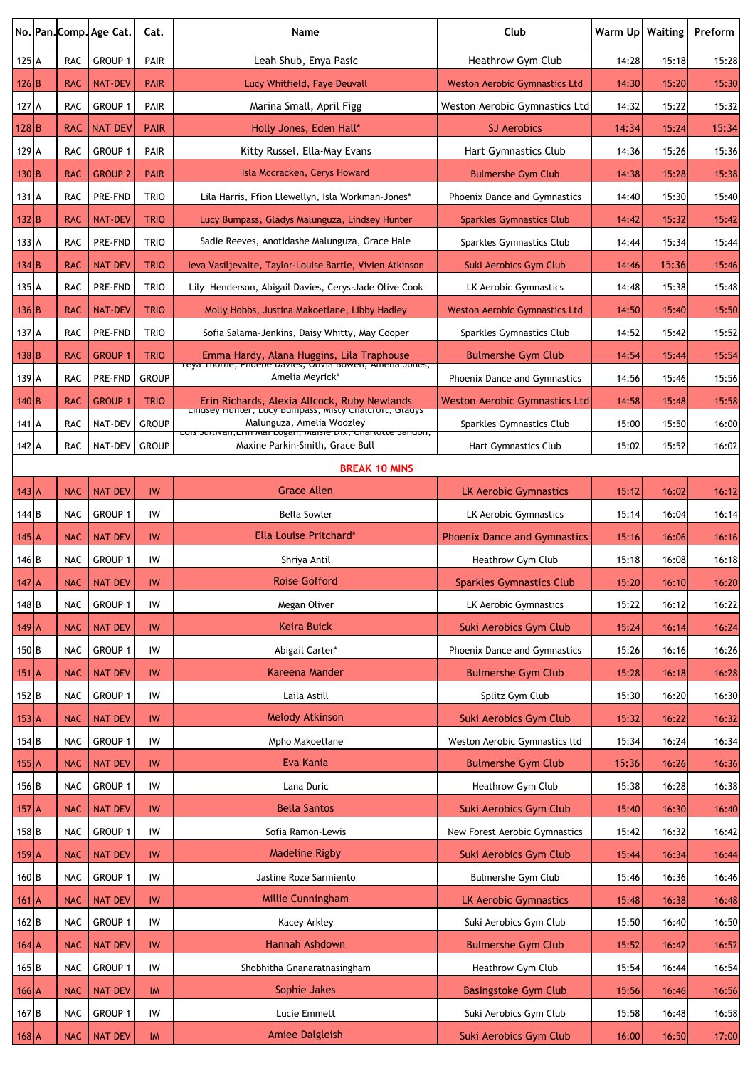|                  |            | No. Pan. Comp. Age Cat. | Cat.         | Name                                                                                                | Club                                 | Warm Up   Waiting |       | Preform |
|------------------|------------|-------------------------|--------------|-----------------------------------------------------------------------------------------------------|--------------------------------------|-------------------|-------|---------|
| 125 A            | <b>RAC</b> | GROUP 1                 | PAIR         | Leah Shub, Enya Pasic                                                                               | Heathrow Gym Club                    | 14:28             | 15:18 | 15:28   |
| 126 B            | <b>RAC</b> | <b>NAT-DEV</b>          | <b>PAIR</b>  | Lucy Whitfield, Faye Deuvall                                                                        | <b>Weston Aerobic Gymnastics Ltd</b> | 14:30             | 15:20 | 15:30   |
| 127 A            | <b>RAC</b> | GROUP 1                 | PAIR         | Marina Small, April Figg                                                                            | Weston Aerobic Gymnastics Ltd        | 14:32             | 15:22 | 15:32   |
| 128 B            | <b>RAC</b> | <b>NAT DEV</b>          | <b>PAIR</b>  | Holly Jones, Eden Hall*                                                                             | <b>SJ Aerobics</b>                   | 14:34             | 15:24 | 15:34   |
| 129 A            | <b>RAC</b> | GROUP 1                 | PAIR         | Kitty Russel, Ella-May Evans                                                                        | Hart Gymnastics Club                 | 14:36             | 15:26 | 15:36   |
| 130 B            | <b>RAC</b> | <b>GROUP 2</b>          | <b>PAIR</b>  | Isla Mccracken, Cerys Howard                                                                        | <b>Bulmershe Gym Club</b>            | 14:38             | 15:28 | 15:38   |
| 131 A            | <b>RAC</b> | PRE-FND                 | <b>TRIO</b>  | Lila Harris, Ffion Llewellyn, Isla Workman-Jones*                                                   | Phoenix Dance and Gymnastics         | 14:40             | 15:30 | 15:40   |
| 132 B            | <b>RAC</b> | <b>NAT-DEV</b>          | <b>TRIO</b>  | Lucy Bumpass, Gladys Malunguza, Lindsey Hunter                                                      | <b>Sparkles Gymnastics Club</b>      | 14:42             | 15:32 | 15:42   |
| 133 A            | <b>RAC</b> | PRE-FND                 | <b>TRIO</b>  | Sadie Reeves, Anotidashe Malunguza, Grace Hale                                                      | Sparkles Gymnastics Club             | 14:44             | 15:34 | 15:44   |
| 134 B            | <b>RAC</b> | <b>NAT DEV</b>          | <b>TRIO</b>  | leva Vasiljevaite, Taylor-Louise Bartle, Vivien Atkinson                                            | Suki Aerobics Gym Club               | 14:46             | 15:36 | 15:46   |
| 135 A            | <b>RAC</b> | PRE-FND                 | <b>TRIO</b>  | Lily Henderson, Abigail Davies, Cerys-Jade Olive Cook                                               | LK Aerobic Gymnastics                | 14:48             | 15:38 | 15:48   |
| 136 B            | <b>RAC</b> | <b>NAT-DEV</b>          | <b>TRIO</b>  | Molly Hobbs, Justina Makoetlane, Libby Hadley                                                       | <b>Weston Aerobic Gymnastics Ltd</b> | 14:50             | 15:40 | 15:50   |
| 137 A            | <b>RAC</b> | PRE-FND                 | <b>TRIO</b>  | Sofia Salama-Jenkins, Daisy Whitty, May Cooper                                                      | Sparkles Gymnastics Club             | 14:52             | 15:42 | 15:52   |
| 138 B            | <b>RAC</b> | <b>GROUP 1</b>          | <b>TRIO</b>  | Emma Hardy, Alana Huggins, Lila Traphouse                                                           | <b>Bulmershe Gym Club</b>            | 14:54             | 15:44 | 15:54   |
| 139 A            | <b>RAC</b> | <b>PRE-FND</b>          | <b>GROUP</b> | reya mome, Phoebe Davies, Otivia Bowen, Ametia Jones,<br>Amelia Meyrick*                            | Phoenix Dance and Gymnastics         | 14:56             | 15:46 | 15:56   |
| 140 B            | <b>RAC</b> | <b>GROUP 1</b>          | <b>TRIO</b>  | Erin Richards, Alexia Allcock, Ruby Newlands                                                        | Weston Aerobic Gymnastics Ltd        | 14:58             | 15:48 | 15:58   |
| 141 A            | <b>RAC</b> | NAT-DEV                 | <b>GROUP</b> | <b>Linusey numer, Lucy Dumpass, Misty Chalcroit, Glauys</b><br>Malunguza, Amelia Woozley            | Sparkles Gymnastics Club             | 15:00             | 15:50 | 16:00   |
| 142 A            | <b>RAC</b> | NAT-DEV                 | <b>GROUP</b> | LUIS JUILIVAII, LIIII MAI LUgali, Maisie DIX, Cilariotte Januon,<br>Maxine Parkin-Smith, Grace Bull | Hart Gymnastics Club                 | 15:02             | 15:52 | 16:02   |
|                  |            |                         |              | <b>BREAK 10 MINS</b>                                                                                |                                      |                   |       |         |
| $143$ A          | <b>NAC</b> | <b>NAT DEV</b>          | IW           | <b>Grace Allen</b>                                                                                  | <b>LK Aerobic Gymnastics</b>         | 15:12             | 16:02 | 16:12   |
| 144 B            | <b>NAC</b> | GROUP 1                 | IW           | <b>Bella Sowler</b>                                                                                 | LK Aerobic Gymnastics                | 15:14             | 16:04 | 16:14   |
| $145$ $A$        | <b>NAC</b> | <b>NAT DEV</b>          | IW           | Ella Louise Pritchard*                                                                              | <b>Phoenix Dance and Gymnastics</b>  | 15:16             | 16:06 | 16:16   |
| 146 B            | <b>NAC</b> | Group 1                 | IW           | Shriya Antil                                                                                        | Heathrow Gym Club                    | 15:18             | 16:08 | 16:18   |
| $147$ A          | <b>NAC</b> | <b>NAT DEV</b>          | IW           | <b>Roise Gofford</b>                                                                                | <b>Sparkles Gymnastics Club</b>      | 15:20             | 16:10 | 16:20   |
| 148B             | <b>NAC</b> | GROUP 1                 | IW           | Megan Oliver                                                                                        | LK Aerobic Gymnastics                | 15:22             | 16:12 | 16:22   |
| $149$ A          | <b>NAC</b> | <b>NAT DEV</b>          | IW           | Keira Buick                                                                                         | Suki Aerobics Gym Club               | 15:24             | 16:14 | 16:24   |
| 150B             | <b>NAC</b> | GROUP 1                 | IW           | Abigail Carter*                                                                                     | Phoenix Dance and Gymnastics         | 15:26             | 16:16 | 16:26   |
| $151$ A          | <b>NAC</b> | <b>NAT DEV</b>          | IW           | Kareena Mander                                                                                      | <b>Bulmershe Gym Club</b>            | 15:28             | 16:18 | 16:28   |
| $152$ B          | <b>NAC</b> | GROUP 1                 | IW           | Laila Astill                                                                                        | Splitz Gym Club                      | 15:30             | 16:20 | 16:30   |
| $153$ A          | <b>NAC</b> | <b>NAT DEV</b>          | IW           | <b>Melody Atkinson</b>                                                                              | Suki Aerobics Gym Club               | 15:32             | 16:22 | 16:32   |
| $154$ B          | <b>NAC</b> | GROUP 1                 | IW           | Mpho Makoetlane                                                                                     | Weston Aerobic Gymnastics ltd        | 15:34             | 16:24 | 16:34   |
| $155$ $A$        | <b>NAC</b> | <b>NAT DEV</b>          | IW           | Eva Kania                                                                                           | <b>Bulmershe Gym Club</b>            | 15:36             | 16:26 | 16:36   |
| 156 <sub>B</sub> | <b>NAC</b> | GROUP 1                 | IW           | Lana Duric                                                                                          | Heathrow Gym Club                    | 15:38             | 16:28 | 16:38   |
| $157$ A          | <b>NAC</b> | <b>NAT DEV</b>          | IW           | <b>Bella Santos</b>                                                                                 | Suki Aerobics Gym Club               | 15:40             | 16:30 | 16:40   |
| $158$ B          | <b>NAC</b> | GROUP 1                 | IW           | Sofia Ramon-Lewis                                                                                   | New Forest Aerobic Gymnastics        | 15:42             | 16:32 | 16:42   |
| $159$ A          | <b>NAC</b> | <b>NAT DEV</b>          | IW           | <b>Madeline Rigby</b>                                                                               | Suki Aerobics Gym Club               | 15:44             | 16:34 | 16:44   |
| 160B             | <b>NAC</b> | <b>GROUP 1</b>          | IW           | Jasline Roze Sarmiento                                                                              | Bulmershe Gym Club                   | 15:46             | 16:36 | 16:46   |
| $161$ A          | <b>NAC</b> | <b>NAT DEV</b>          | IW           | Millie Cunningham                                                                                   | <b>LK Aerobic Gymnastics</b>         | 15:48             | 16:38 | 16:48   |
| 162 B            | <b>NAC</b> | GROUP 1                 | IW           | Kacey Arkley                                                                                        | Suki Aerobics Gym Club               | 15:50             | 16:40 | 16:50   |
| $164$ A          | <b>NAC</b> | <b>NAT DEV</b>          | IW           | Hannah Ashdown                                                                                      | <b>Bulmershe Gym Club</b>            | 15:52             | 16:42 | 16:52   |
| 165B             | <b>NAC</b> | <b>GROUP 1</b>          | IW           | Shobhitha Gnanaratnasingham                                                                         | Heathrow Gym Club                    | 15:54             | 16:44 | 16:54   |
| $166$ $A$        | <b>NAC</b> | <b>NAT DEV</b>          | <b>IM</b>    | Sophie Jakes                                                                                        | <b>Basingstoke Gym Club</b>          | 15:56             | 16:46 | 16:56   |
| 167 <sub>B</sub> | <b>NAC</b> | GROUP 1                 | IW           | Lucie Emmett                                                                                        | Suki Aerobics Gym Club               | 15:58             | 16:48 | 16:58   |
| $168$ $A$        | <b>NAC</b> | <b>NAT DEV</b>          | IM           | <b>Amiee Dalgleish</b>                                                                              | Suki Aerobics Gym Club               | 16:00             | 16:50 | 17:00   |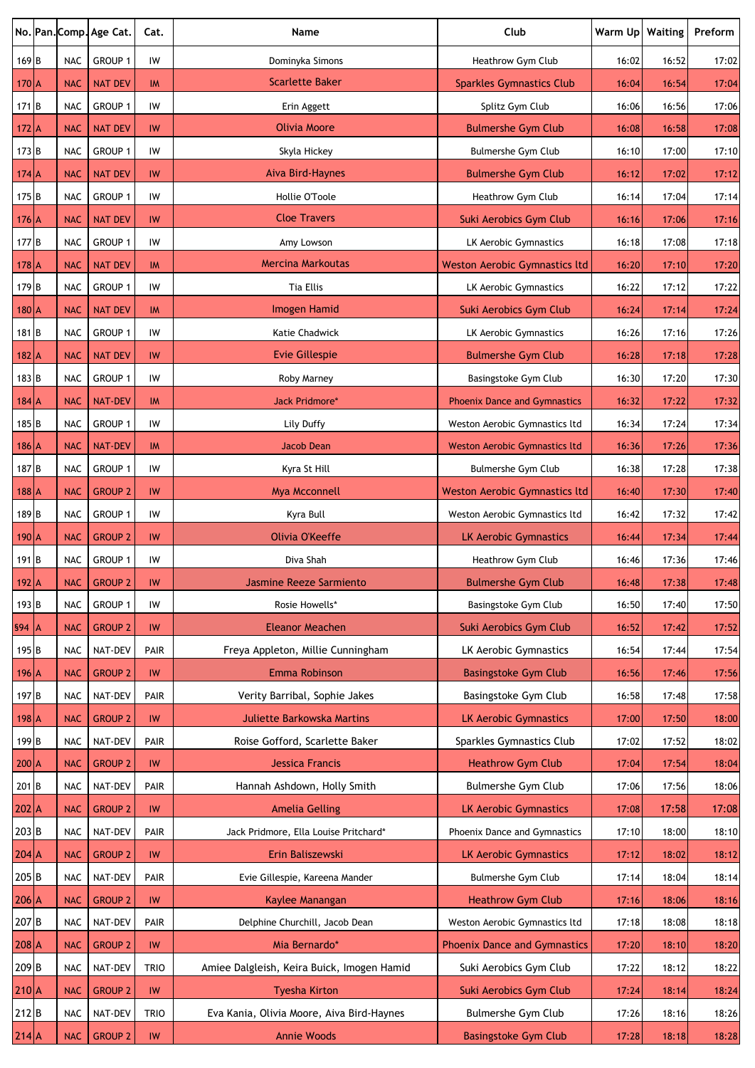|                  |            | No. Pan. Comp. Age Cat. | Cat.            | Name                                       | Club                                 | Warm Up Waiting |       | Preform |
|------------------|------------|-------------------------|-----------------|--------------------------------------------|--------------------------------------|-----------------|-------|---------|
| 169 <sub>B</sub> | <b>NAC</b> | GROUP 1                 | IW              | Dominyka Simons                            | Heathrow Gym Club                    | 16:02           | 16:52 | 17:02   |
| $170$ A          | <b>NAC</b> | <b>NAT DEV</b>          | IM              | <b>Scarlette Baker</b>                     | <b>Sparkles Gymnastics Club</b>      | 16:04           | 16:54 | 17:04   |
| $171$ B          | <b>NAC</b> | GROUP 1                 | IW              | Erin Aggett                                | Splitz Gym Club                      | 16:06           | 16:56 | 17:06   |
| $172$ A          | <b>NAC</b> | <b>NAT DEV</b>          | IW              | <b>Olivia Moore</b>                        | <b>Bulmershe Gym Club</b>            | 16:08           | 16:58 | 17:08   |
| $173$ B          | <b>NAC</b> | GROUP 1                 | IW              | Skyla Hickey                               | <b>Bulmershe Gym Club</b>            | 16:10           | 17:00 | 17:10   |
| $174$ A          | <b>NAC</b> | <b>NAT DEV</b>          | IW              | Aiva Bird-Haynes                           | <b>Bulmershe Gym Club</b>            | 16:12           | 17:02 | 17:12   |
| 175B             | <b>NAC</b> | GROUP 1                 | IW              | Hollie O'Toole                             | Heathrow Gym Club                    | 16:14           | 17:04 | 17:14   |
| $176$ A          | <b>NAC</b> | <b>NAT DEV</b>          | IW              | <b>Cloe Travers</b>                        | Suki Aerobics Gym Club               | 16:16           | 17:06 | 17:16   |
| 177 <sub>B</sub> | <b>NAC</b> | GROUP 1                 | IW              | Amy Lowson                                 | LK Aerobic Gymnastics                | 16:18           | 17:08 | 17:18   |
| $178$ A          | <b>NAC</b> | <b>NAT DEV</b>          | IM              | <b>Mercina Markoutas</b>                   | <b>Weston Aerobic Gymnastics ltd</b> | 16:20           | 17:10 | 17:20   |
| 179 <sub>B</sub> | <b>NAC</b> | GROUP 1                 | IW              | <b>Tia Ellis</b>                           | LK Aerobic Gymnastics                | 16:22           | 17:12 | 17:22   |
| $180$ A          | <b>NAC</b> | <b>NAT DEV</b>          | IM              | Imogen Hamid                               | Suki Aerobics Gym Club               | 16:24           | 17:14 | 17:24   |
| 181 <sub>B</sub> | <b>NAC</b> | GROUP 1                 | IW              | <b>Katie Chadwick</b>                      | LK Aerobic Gymnastics                | 16:26           | 17:16 | 17:26   |
| $182$ A          | <b>NAC</b> | <b>NAT DEV</b>          | IW              | <b>Evie Gillespie</b>                      | <b>Bulmershe Gym Club</b>            | 16:28           | 17:18 | 17:28   |
| 183 B            | <b>NAC</b> | GROUP 1                 | IW              | Roby Marney                                | Basingstoke Gym Club                 | 16:30           | 17:20 | 17:30   |
| $184$ A          | <b>NAC</b> | <b>NAT-DEV</b>          | IM              | <b>Jack Pridmore*</b>                      | <b>Phoenix Dance and Gymnastics</b>  | 16:32           | 17:22 | 17:32   |
| 185 <sub>B</sub> | <b>NAC</b> | GROUP 1                 | IW              | Lily Duffy                                 | Weston Aerobic Gymnastics ltd        | 16:34           | 17:24 | 17:34   |
| $186$ A          | <b>NAC</b> | <b>NAT-DEV</b>          | IM              | <b>Jacob Dean</b>                          | <b>Weston Aerobic Gymnastics ltd</b> | 16:36           | 17:26 | 17:36   |
| 187 <sub>B</sub> | <b>NAC</b> | GROUP 1                 | IW              | Kyra St Hill                               | <b>Bulmershe Gym Club</b>            | 16:38           | 17:28 | 17:38   |
| $188$ A          | <b>NAC</b> | <b>GROUP 2</b>          | IW              | <b>Mya Mcconnell</b>                       | <b>Weston Aerobic Gymnastics ltd</b> | 16:40           | 17:30 | 17:40   |
| 189 <sub>B</sub> | <b>NAC</b> | GROUP 1                 | IW              | Kyra Bull                                  | Weston Aerobic Gymnastics ltd        | 16:42           | 17:32 | 17:42   |
| $190$ A          | <b>NAC</b> | <b>GROUP 2</b>          | IW              | Olivia O'Keeffe                            | <b>LK Aerobic Gymnastics</b>         | 16:44           | 17:34 | 17:44   |
| 191 <sub>B</sub> | <b>NAC</b> | GROUP 1                 | IW              | Diva Shah                                  | Heathrow Gym Club                    | 16:46           | 17:36 | 17:46   |
| $192$ A          | <b>NAC</b> | <b>GROUP 2</b>          | IW              | Jasmine Reeze Sarmiento                    | <b>Bulmershe Gym Club</b>            | 16:48           | 17:38 | 17:48   |
| 193 <sub>B</sub> | <b>NAC</b> | GROUP 1                 | IW              | Rosie Howells*                             | Basingstoke Gym Club                 | 16:50           | 17:40 | 17:50   |
| $ 94 $ A         | <b>NAC</b> | <b>GROUP 2</b>          | IW              | <b>Eleanor Meachen</b>                     | Suki Aerobics Gym Club               | 16:52           | 17:42 | 17:52   |
| 195 <sub>B</sub> | <b>NAC</b> | NAT-DEV                 | <b>PAIR</b>     | Freya Appleton, Millie Cunningham          | LK Aerobic Gymnastics                | 16:54           | 17:44 | 17:54   |
| $196$ A          | <b>NAC</b> | <b>GROUP 2</b>          | IW              | Emma Robinson                              | <b>Basingstoke Gym Club</b>          | 16:56           | 17:46 | 17:56   |
| 197 <sub>B</sub> | <b>NAC</b> | NAT-DEV                 | PAIR            | Verity Barribal, Sophie Jakes              | Basingstoke Gym Club                 | 16:58           | 17:48 | 17:58   |
| $198$ $A$        | <b>NAC</b> | <b>GROUP 2</b>          | IW              | <b>Juliette Barkowska Martins</b>          | <b>LK Aerobic Gymnastics</b>         | 17:00           | 17:50 | 18:00   |
| 199 <sub>B</sub> | <b>NAC</b> | NAT-DEV                 | PAIR            | Roise Gofford, Scarlette Baker             | Sparkles Gymnastics Club             | 17:02           | 17:52 | 18:02   |
| $200$ A          | <b>NAC</b> | <b>GROUP 2</b>          | IW              | <b>Jessica Francis</b>                     | <b>Heathrow Gym Club</b>             | 17:04           | 17:54 | 18:04   |
| $201$ B          | <b>NAC</b> | NAT-DEV                 | PAIR            | Hannah Ashdown, Holly Smith                | Bulmershe Gym Club                   | 17:06           | 17:56 | 18:06   |
| $202$ A          | <b>NAC</b> | <b>GROUP 2</b>          | IW              | <b>Amelia Gelling</b>                      | <b>LK Aerobic Gymnastics</b>         | 17:08           | 17:58 | 17:08   |
| $203$ B          | <b>NAC</b> | NAT-DEV                 | PAIR            | Jack Pridmore, Ella Louise Pritchard*      | Phoenix Dance and Gymnastics         | 17:10           | 18:00 | 18:10   |
| $204$ A          | <b>NAC</b> | <b>GROUP 2</b>          | IW              | Erin Baliszewski                           | <b>LK Aerobic Gymnastics</b>         | 17:12           | 18:02 | 18:12   |
| 205B             | <b>NAC</b> | NAT-DEV                 | PAIR            | Evie Gillespie, Kareena Mander             | Bulmershe Gym Club                   | 17:14           | 18:04 | 18:14   |
| $206$ A          | <b>NAC</b> | <b>GROUP 2</b>          | IW              | Kaylee Manangan                            | <b>Heathrow Gym Club</b>             | 17:16           | 18:06 | 18:16   |
| 207B             | <b>NAC</b> | NAT-DEV                 | PAIR            | Delphine Churchill, Jacob Dean             | Weston Aerobic Gymnastics ltd        | 17:18           | 18:08 | 18:18   |
| 208 A            | <b>NAC</b> | <b>GROUP 2</b>          | IW              | Mia Bernardo*                              | <b>Phoenix Dance and Gymnastics</b>  | 17:20           | 18:10 | 18:20   |
| $209$ B          | <b>NAC</b> | NAT-DEV                 | <b>TRIO</b>     | Amiee Dalgleish, Keira Buick, Imogen Hamid | Suki Aerobics Gym Club               | 17:22           | 18:12 | 18:22   |
| $210 \text{A}$   | <b>NAC</b> | <b>GROUP 2</b>          | IW              | <b>Tyesha Kirton</b>                       | Suki Aerobics Gym Club               | 17:24           | 18:14 | 18:24   |
| 212B             | <b>NAC</b> | NAT-DEV                 | <b>TRIO</b>     | Eva Kania, Olivia Moore, Aiva Bird-Haynes  | Bulmershe Gym Club                   | 17:26           | 18:16 | 18:26   |
| $214$ A          | <b>NAC</b> | <b>GROUP 2</b>          | $\textsf{IW}{}$ | <b>Annie Woods</b>                         | <b>Basingstoke Gym Club</b>          | 17:28           | 18:18 | 18:28   |